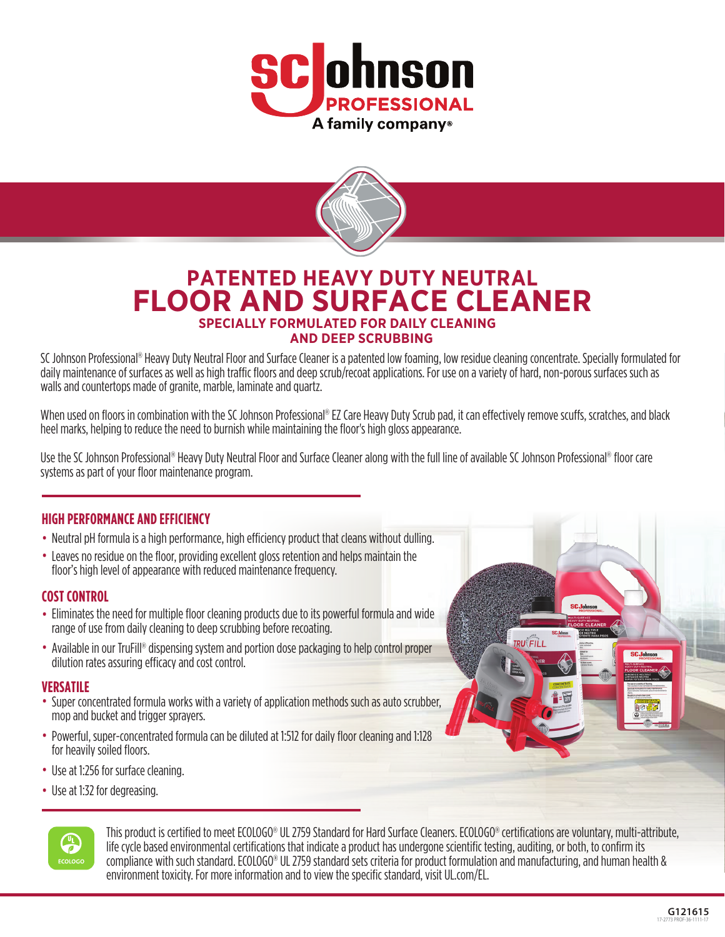



# **PATENTED HEAVY DUTY NEUTRAL FLOOR AND SURFACE CLEANER SPECIALLY FORMULATED FOR DAILY CLEANING AND DEEP SCRUBBING**

SC Johnson Professional® Heavy Duty Neutral Floor and Surface Cleaner is a patented low foaming, low residue cleaning concentrate. Specially formulated for daily maintenance of surfaces as well as high traffic floors and deep scrub/recoat applications. For use on a variety of hard, non-porous surfaces such as walls and countertops made of granite, marble, laminate and quartz.

When used on floors in combination with the SC Johnson Professional® EZ Care Heavy Duty Scrub pad, it can effectively remove scuffs, scratches, and black heel marks, helping to reduce the need to burnish while maintaining the floor's high gloss appearance.

Use the SC Johnson Professional® Heavy Duty Neutral Floor and Surface Cleaner along with the full line of available SC Johnson Professional® floor care systems as part of your floor maintenance program.

### **HIGH PERFORMANCE AND EFFICIENCY**

- Neutral pH formula is a high performance, high efficiency product that cleans without dulling.
- Leaves no residue on the floor, providing excellent gloss retention and helps maintain the floor's high level of appearance with reduced maintenance frequency.

#### **COST CONTROL**

- Eliminates the need for multiple floor cleaning products due to its powerful formula and wide range of use from daily cleaning to deep scrubbing before recoating.
- Available in our TruFill® dispensing system and portion dose packaging to help control proper dilution rates assuring efficacy and cost control.

- **VERSATILE** Super concentrated formula works with a variety of application methods such as auto scrubber, mop and bucket and trigger sprayers.
- Powerful, super-concentrated formula can be diluted at 1:512 for daily floor cleaning and 1:128 for heavily soiled floors.
- Use at 1:256 for surface cleaning.
- Use at 1:32 for degreasing.



This product is certified to meet ECOLOGO® UL 2759 Standard for Hard Surface Cleaners. ECOLOGO® certifications are voluntary, multi-attribute, life cycle based environmental certifications that indicate a product has undergone scientific testing, auditing, or both, to confirm its compliance with such standard. ECOLOGO® UL 2759 standard sets criteria for product formulation and manufacturing, and human health & environment toxicity. For more information and to view the specific standard, visit UL.com/EL.